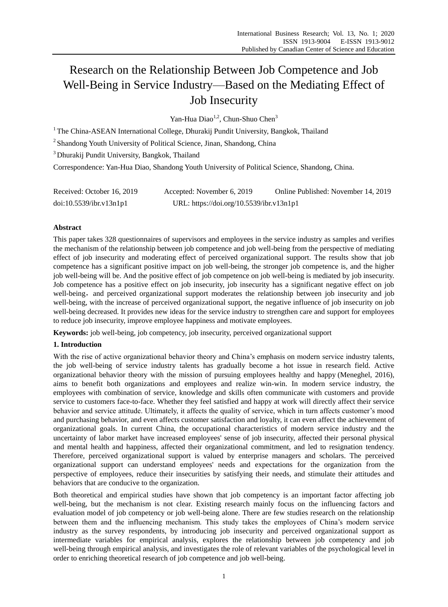# Research on the Relationship Between Job Competence and Job Well-Being in Service Industry—Based on the Mediating Effect of Job Insecurity

Yan-Hua Diao<sup>1,2</sup>, Chun-Shuo Chen<sup>3</sup>

<sup>1</sup> The China-ASEAN International College, Dhurakij Pundit University, Bangkok, Thailand

<sup>2</sup> Shandong Youth University of Political Science, Jinan, Shandong, China

<sup>3</sup> Dhurakij Pundit University, Bangkok, Thailand

Correspondence: Yan-Hua Diao, Shandong Youth University of Political Science, Shandong, China.

| Received: October 16, 2019 | Accepted: November 6, 2019               | Online Published: November 14, 2019 |
|----------------------------|------------------------------------------|-------------------------------------|
| doi:10.5539/ibr.v13n1p1    | URL: https://doi.org/10.5539/ibr.v13n1p1 |                                     |

## **Abstract**

This paper takes 328 questionnaires of supervisors and employees in the service industry as samples and verifies the mechanism of the relationship between job competence and job well-being from the perspective of mediating effect of job insecurity and moderating effect of perceived organizational support. The results show that job competence has a significant positive impact on job well-being, the stronger job competence is, and the higher job well-being will be. And the positive effect of job competence on job well-being is mediated by job insecurity. Job competence has a positive effect on job insecurity, job insecurity has a significant negative effect on job well-being, and perceived organizational support moderates the relationship between job insecurity and job well-being, with the increase of perceived organizational support, the negative influence of job insecurity on job well-being decreased. It provides new ideas for the service industry to strengthen care and support for employees to reduce job insecurity, improve employee happiness and motivate employees.

**Keywords:** job well-being, job competency, job insecurity, perceived organizational support

## **1. Introduction**

With the rise of active organizational behavior theory and China's emphasis on modern service industry talents, the job well-being of service industry talents has gradually become a hot issue in research field. Active organizational behavior theory with the mission of pursuing employees healthy and happy (Meneghel, 2016), aims to benefit both organizations and employees and realize win-win. In modern service industry, the employees with combination of service, knowledge and skills often communicate with customers and provide service to customers face-to-face. Whether they feel satisfied and happy at work will directly affect their service behavior and service attitude. Ultimately, it affects the quality of service, which in turn affects customer's mood and purchasing behavior, and even affects customer satisfaction and loyalty, it can even affect the achievement of organizational goals. In current China, the occupational characteristics of modern service industry and the uncertainty of labor market have increased employees' sense of job insecurity, affected their personal physical and mental health and happiness, affected their organizational commitment, and led to resignation tendency. Therefore, perceived organizational support is valued by enterprise managers and scholars. The perceived organizational support can understand employees' needs and expectations for the organization from the perspective of employees, reduce their insecurities by satisfying their needs, and stimulate their attitudes and behaviors that are conducive to the organization.

Both theoretical and empirical studies have shown that job competency is an important factor affecting job well-being, but the mechanism is not clear. Existing research mainly focus on the influencing factors and evaluation model of job competency or job well-being alone. There are few studies research on the relationship between them and the influencing mechanism. This study takes the employees of China's modern service industry as the survey respondents, by introducing job insecurity and perceived organizational support as intermediate variables for empirical analysis, explores the relationship between job competency and job well-being through empirical analysis, and investigates the role of relevant variables of the psychological level in order to enriching theoretical research of job competence and job well-being.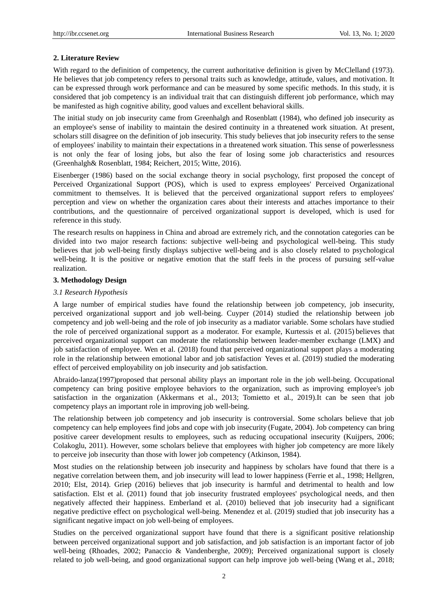#### **2. Literature Review**

With regard to the definition of competency, the current authoritative definition is given by McClelland (1973). He believes that job competency refers to personal traits such as knowledge, attitude, values, and motivation. It can be expressed through work performance and can be measured by some specific methods. In this study, it is considered that job competency is an individual trait that can distinguish different job performance, which may be manifested as high cognitive ability, good values and excellent behavioral skills.

The initial study on job insecurity came from Greenhalgh and Rosenblatt (1984), who defined job insecurity as an employee's sense of inability to maintain the desired continuity in a threatened work situation. At present, scholars still disagree on the definition of job insecurity. This study believes that job insecurity refers to the sense of employees' inability to maintain their expectations in a threatened work situation. This sense of powerlessness is not only the fear of losing jobs, but also the fear of losing some job characteristics and resources (Greenhalgh& Rosenblatt, 1984; Reichert, 2015; Witte, 2016).

Eisenberger (1986) based on the social exchange theory in social psychology, first proposed the concept of Perceived Organizational Support (POS), which is used to express employees' Perceived Organizational commitment to themselves. It is believed that the perceived organizational support refers to employees' perception and view on whether the organization cares about their interests and attaches importance to their contributions, and the questionnaire of perceived organizational support is developed, which is used for reference in this study.

The research results on happiness in China and abroad are extremely rich, and the connotation categories can be divided into two major research factions: subjective well-being and psychological well-being. This study believes that job well-being firstly displays subjective well-being and is also closely related to psychological well-being. It is the positive or negative emotion that the staff feels in the process of pursuing self-value realization.

#### **3. Methodology Design**

#### *3.1 Research Hypothesis*

A large number of empirical studies have found the relationship between job competency, job insecurity, perceived organizational support and job well-being. Cuyper (2014) studied the relationship between job competency and job well-being and the role of job insecurity as a madiator variable. Some scholars have studied the role of perceived organizational support as a moderator. For example, Kurtessis et al. (2015) believes that perceived organizational support can moderate the relationship between leader-member exchange (LMX) and job satisfaction of employee. Wen et al. (2018) found that perceived organizational support plays a moderating role in the relationship between emotional labor and job satisfaction. Yeves et al. (2019) studied the moderating effect of perceived employability on job insecurity and job satisfaction.

Abraido-lanza(1997)proposed that personal ability plays an important role in the job well-being. Occupational competency can bring positive employee behaviors to the organization, such as improving employee's job satisfaction in the organization (Akkermans et al., 2013; Tomietto et al.*,* 2019).It can be seen that job competency plays an important role in improving job well-being.

The relationship between job competency and job insecurity is controversial. Some scholars believe that job competency can help employees find jobs and cope with job insecurity (Fugate, 2004). Job competency can bring positive career development results to employees, such as reducing occupational insecurity (Kuijpers, 2006; Colakoglu, 2011). However, some scholars believe that employees with higher job competency are more likely to perceive job insecurity than those with lower job competency (Atkinson, 1984).

Most studies on the relationship between job insecurity and happiness by scholars have found that there is a negative correlation between them, and job insecurity will lead to lower happiness (Ferrie et al., 1998; Hellgren, 2010; Elst, 2014). Griep (2016) believes that job insecurity is harmful and detrimental to health and low satisfaction. Elst et al. (2011) found that job insecurity frustrated employees' psychological needs, and then negatively affected their happiness. Emberland et al. (2010) believed that job insecurity had a significant negative predictive effect on psychological well-being. Menendez et al. (2019) studied that job insecurity has a significant negative impact on job well-being of employees.

Studies on the perceived organizational support have found that there is a significant positive relationship between perceived organizational support and job satisfaction, and job satisfaction is an important factor of job well-being (Rhoades, 2002; Panaccio & Vandenberghe, 2009); Perceived organizational support is closely related to job well-being, and good organizational support can help improve job well-being (Wang et al., 2018;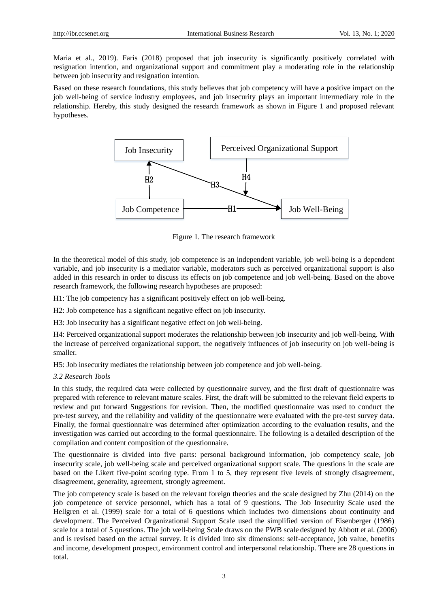Maria et al., 2019). Faris (2018) proposed that job insecurity is significantly positively correlated with resignation intention, and organizational support and commitment play a moderating role in the relationship between job insecurity and resignation intention.

Based on these research foundations, this study believes that job competency will have a positive impact on the job well-being of service industry employees, and job insecurity plays an important intermediary role in the relationship. Hereby, this study designed the research framework as shown in Figure 1 and proposed relevant hypotheses.



Figure 1. The research framework

In the theoretical model of this study, job competence is an independent variable, job well-being is a dependent variable, and job insecurity is a mediator variable, moderators such as perceived organizational support is also added in this research in order to discuss its effects on job competence and job well-being. Based on the above research framework, the following research hypotheses are proposed:

H1: The job competency has a significant positively effect on job well-being.

H2: Job competence has a significant negative effect on job insecurity.

H3: Job insecurity has a significant negative effect on job well-being.

H4: Perceived organizational support moderates the relationship between job insecurity and job well-being. With the increase of perceived organizational support, the negatively influences of job insecurity on job well-being is smaller.

H5: Job insecurity mediates the relationship between job competence and job well-being.

## *3.2 Research Tools*

In this study, the required data were collected by questionnaire survey, and the first draft of questionnaire was prepared with reference to relevant mature scales. First, the draft will be submitted to the relevant field experts to review and put forward Suggestions for revision. Then, the modified questionnaire was used to conduct the pre-test survey, and the reliability and validity of the questionnaire were evaluated with the pre-test survey data. Finally, the formal questionnaire was determined after optimization according to the evaluation results, and the investigation was carried out according to the formal questionnaire. The following is a detailed description of the compilation and content composition of the questionnaire.

The questionnaire is divided into five parts: personal background information, job competency scale, job insecurity scale, job well-being scale and perceived organizational support scale. The questions in the scale are based on the Likert five-point scoring type. From 1 to 5, they represent five levels of strongly disagreement, disagreement, generality, agreement, strongly agreement.

The job competency scale is based on the relevant foreign theories and the scale designed by Zhu (2014) on the job competence of service personnel, which has a total of 9 questions. The Job Insecurity Scale used the Hellgren et al. (1999) scale for a total of 6 questions which includes two dimensions about continuity and development. The Perceived Organizational Support Scale used the simplified version of Eisenberger (1986) scale for a total of 5 questions. The job well-being Scale draws on the PWB scale designed by Abbott et al. (2006) and is revised based on the actual survey. It is divided into six dimensions: self-acceptance, job value, benefits and income, development prospect, environment control and interpersonal relationship. There are 28 questions in total.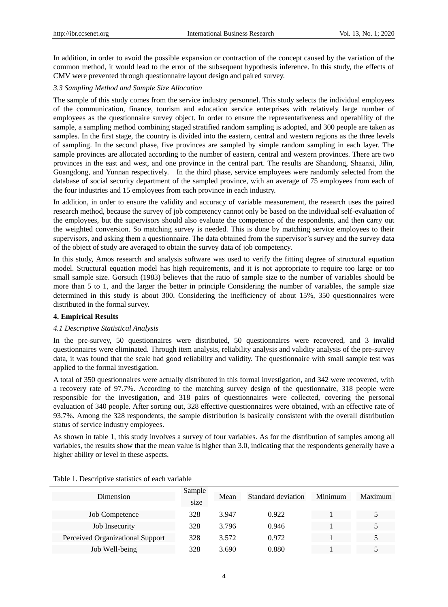In addition, in order to avoid the possible expansion or contraction of the concept caused by the variation of the common method, it would lead to the error of the subsequent hypothesis inference. In this study, the effects of CMV were prevented through questionnaire layout design and paired survey.

## *3.3 Sampling Method and Sample Size Allocation*

The sample of this study comes from the service industry personnel. This study selects the individual employees of the communication, finance, tourism and education service enterprises with relatively large number of employees as the questionnaire survey object. In order to ensure the representativeness and operability of the sample, a sampling method combining staged stratified random sampling is adopted, and 300 people are taken as samples. In the first stage, the country is divided into the eastern, central and western regions as the three levels of sampling. In the second phase, five provinces are sampled by simple random sampling in each layer. The sample provinces are allocated according to the number of eastern, central and western provinces. There are two provinces in the east and west, and one province in the central part. The results are Shandong, Shaanxi, Jilin, Guangdong, and Yunnan respectively. In the third phase, service employees were randomly selected from the database of social security department of the sampled province, with an average of 75 employees from each of the four industries and 15 employees from each province in each industry.

In addition, in order to ensure the validity and accuracy of variable measurement, the research uses the paired research method, because the survey of job competency cannot only be based on the individual self-evaluation of the employees, but the supervisors should also evaluate the competence of the respondents, and then carry out the weighted conversion. So matching survey is needed. This is done by matching service employees to their supervisors, and asking them a questionnaire. The data obtained from the supervisor's survey and the survey data of the object of study are averaged to obtain the survey data of job competency.

In this study, Amos research and analysis software was used to verify the fitting degree of structural equation model. Structural equation model has high requirements, and it is not appropriate to require too large or too small sample size. Gorsuch (1983) believes that the ratio of sample size to the number of variables should be more than 5 to 1, and the larger the better in principle. Considering the number of variables, the sample size determined in this study is about 300. Considering the inefficiency of about 15%, 350 questionnaires were distributed in the formal survey.

## **4. Empirical Results**

#### *4.1 Descriptive Statistical Analysis*

In the pre-survey, 50 questionnaires were distributed, 50 questionnaires were recovered, and 3 invalid questionnaires were eliminated. Through item analysis, reliability analysis and validity analysis of the pre-survey data, it was found that the scale had good reliability and validity. The questionnaire with small sample test was applied to the formal investigation.

A total of 350 questionnaires were actually distributed in this formal investigation, and 342 were recovered, with a recovery rate of 97.7%. According to the matching survey design of the questionnaire, 318 people were responsible for the investigation, and 318 pairs of questionnaires were collected, covering the personal evaluation of 340 people. After sorting out, 328 effective questionnaires were obtained, with an effective rate of 93.7%. Among the 328 respondents, the sample distribution is basically consistent with the overall distribution status of service industry employees.

As shown in table 1, this study involves a survey of four variables. As for the distribution of samples among all variables, the results show that the mean value is higher than 3.0, indicating that the respondents generally have a higher ability or level in these aspects.

| Dimension                        | Sample<br>size | Mean  | Standard deviation | Minimum | Maximum |
|----------------------------------|----------------|-------|--------------------|---------|---------|
| <b>Job Competence</b>            | 328            | 3.947 | 0.922              |         |         |
| Job Insecurity                   | 328            | 3.796 | 0.946              |         |         |
| Perceived Organizational Support | 328            | 3.572 | 0.972              |         |         |
| Job Well-being                   | 328            | 3.690 | 0.880              |         |         |

Table 1. Descriptive statistics of each variable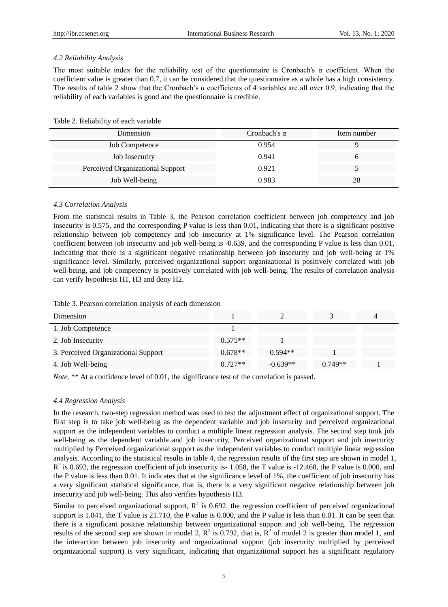#### *4.2 Reliability Analysis*

The most suitable index for the reliability test of the questionnaire is Cronbach's  $\alpha$  coefficient. When the coefficient value is greater than 0.7, it can be considered that the questionnaire as a whole has a high consistency. The results of table 2 show that the Cronbach's  $\alpha$  coefficients of 4 variables are all over 0.9, indicating that the reliability of each variables is good and the questionnaire is credible.

Table 2. Reliability of each variable

| Dimension                        | Cronbach's $\alpha$ | Item number |
|----------------------------------|---------------------|-------------|
| <b>Job Competence</b>            | 0.954               |             |
| Job Insecurity                   | 0.941               |             |
| Perceived Organizational Support | 0.921               |             |
| Job Well-being                   | 0.983               | 28          |

#### *4.3 Correlation Analysis*

From the statistical results in Table 3, the Pearson correlation coefficient between job competency and job insecurity is 0.575, and the corresponding P value is less than 0.01, indicating that there is a significant positive relationship between job competency and job insecurity at 1% significance level. The Pearson correlation coefficient between job insecurity and job well-being is -0.639, and the corresponding P value is less than 0.01, indicating that there is a significant negative relationship between job insecurity and job well-being at 1% significance level. Similarly, perceived organizational support organizational is positively correlated with job well-being, and job competency is positively correlated with job well-being. The results of correlation analysis can verify hypothesis H1, H3 and deny H2.

|  |  |  | Table 3. Pearson correlation analysis of each dimension |  |  |  |  |
|--|--|--|---------------------------------------------------------|--|--|--|--|
|--|--|--|---------------------------------------------------------|--|--|--|--|

| Dimension                           |           |            |           |  |
|-------------------------------------|-----------|------------|-----------|--|
| 1. Job Competence                   |           |            |           |  |
| 2. Job Insecurity                   | $0.575**$ |            |           |  |
| 3. Perceived Organizational Support | $0.678**$ | $0.594**$  |           |  |
| 4. Job Well-being                   | $0.727**$ | $-0.639**$ | $0.749**$ |  |

*Note.* \*\* At a confidence level of 0.01, the significance test of the correlation is passed.

#### *4.4 Regression Analysis*

In the research, two-step regression method was used to test the adjustment effect of organizational support. The first step is to take job well-being as the dependent variable and job insecurity and perceived organizational support as the independent variables to conduct a multiple linear regression analysis. The second step took job well-being as the dependent variable and job insecurity, Perceived organizational support and job insecurity multiplied by Perceived organizational support as the independent variables to conduct multiple linear regression analysis. According to the statistical results in table 4, the regression results of the first step are shown in model 1,  $R^2$  is 0.692, the regression coefficient of job insecurity is-1.058, the T value is -12.468, the P value is 0.000, and the P value is less than 0.01. It indicates that at the significance level of 1%, the coefficient of job insecurity has a very significant statistical significance, that is, there is a very significant negative relationship between job insecurity and job well-being. This also verifies hypothesis H3.

Similar to perceived organizational support,  $R^2$  is 0.692, the regression coefficient of perceived organizational support is 1.841, the T value is 21.710, the P value is 0.000, and the P value is less than 0.01. It can be seen that there is a significant positive relationship between organizational support and job well-being. The regression results of the second step are shown in model 2,  $\mathbb{R}^2$  is 0.792, that is,  $\mathbb{R}^2$  of model 2 is greater than model 1, and the interaction between job insecurity and organizational support (job insecurity multiplied by perceived organizational support) is very significant, indicating that organizational support has a significant regulatory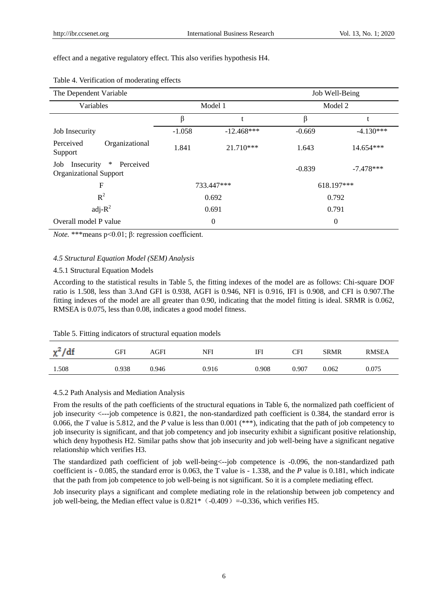#### effect and a negative regulatory effect. This also verifies hypothesis H4.

| The Dependent Variable                                                    |          |                  |          | Job Well-Being |
|---------------------------------------------------------------------------|----------|------------------|----------|----------------|
| Variables                                                                 |          | Model 1          |          | Model 2        |
|                                                                           | β        | t                | β        |                |
| Job Insecurity                                                            | $-1.058$ | $-12.468***$     | $-0.669$ | $-4.130***$    |
| Perceived<br>Organizational<br>Support                                    | 1.841    | $21.710***$      | 1.643    | 14.654***      |
| $\ast$<br>Insecurity<br>Perceived<br>Job<br><b>Organizational Support</b> |          |                  | $-0.839$ | $-7.478***$    |
| $\mathbf F$                                                               |          | 733.447***       |          | 618.197***     |
| $R^2$                                                                     |          | 0.692            |          | 0.792          |
| adj- $R^2$                                                                |          | 0.691            |          | 0.791          |
| Overall model P value                                                     |          | $\boldsymbol{0}$ |          | $\theta$       |

## Table 4. Verification of moderating effects

*Note.* \*\*\*means p<0.01; β: regression coefficient.

#### *4.5 Structural Equation Model (SEM) Analysis*

## 4.5.1 Structural Equation Models

According to the statistical results in Table 5, the fitting indexes of the model are as follows: Chi-square DOF ratio is 1.508, less than 3.And GFI is 0.938, AGFI is 0.946, NFI is 0.916, IFI is 0.908, and CFI is 0.907.The fitting indexes of the model are all greater than 0.90, indicating that the model fitting is ideal. SRMR is 0.062, RMSEA is 0.075, less than 0.08, indicates a good model fitness.

#### Table 5. Fitting indicators of structural equation models

| $\chi^2/df$ | GFI   | AGFI  | NFI   | IFI   | CFI   | <b>SRMR</b> | <b>RMSEA</b> |
|-------------|-------|-------|-------|-------|-------|-------------|--------------|
| 1.508       | 0.938 | 0.946 | 0.916 | 0.908 | 0.907 | 0.062       | 0.075        |

#### 4.5.2 Path Analysis and Mediation Analysis

From the results of the path coefficients of the structural equations in Table 6, the normalized path coefficient of job insecurity <---job competence is 0.821, the non-standardized path coefficient is 0.384, the standard error is 0.066, the *T* value is 5.812, and the *P* value is less than 0.001 (\*\*\*), indicating that the path of job competency to job insecurity is significant, and that job competency and job insecurity exhibit a significant positive relationship, which deny hypothesis H2. Similar paths show that job insecurity and job well-being have a significant negative relationship which verifies H3.

The standardized path coefficient of job well-being<--job competence is -0.096, the non-standardized path coefficient is - 0.085, the standard error is 0.063, the T value is - 1.338, and the *P* value is 0.181, which indicate that the path from job competence to job well-being is not significant. So it is a complete mediating effect.

Job insecurity plays a significant and complete mediating role in the relationship between job competency and job well-being, the Median effect value is  $0.821*$  (-0.409) =-0.336, which verifies H5.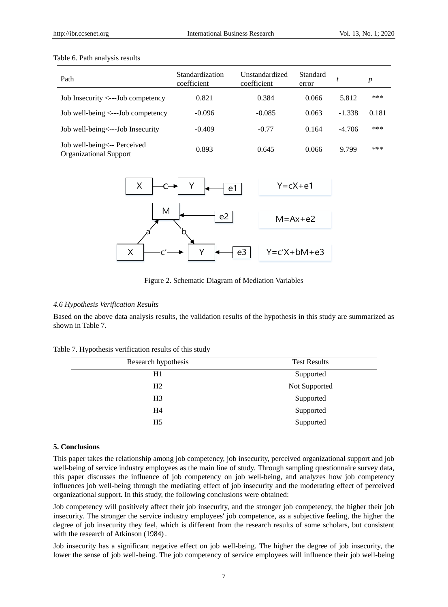#### Table 6. Path analysis results

| Path                                                          | Standardization<br>coefficient | Unstandardized<br>coefficient | Standard<br>error |          | p     |
|---------------------------------------------------------------|--------------------------------|-------------------------------|-------------------|----------|-------|
| Job Insecurity <--- Job competency                            | 0.821                          | 0.384                         | 0.066             | 5.812    | ***   |
| Job well-being $\leq$ ---Job competency                       | $-0.096$                       | $-0.085$                      | 0.063             | $-1.338$ | 0.181 |
| Job well-being<---Job Insecurity                              | $-0.409$                       | $-0.77$                       | 0.164             | $-4.706$ | ***   |
| Job well-being <-- Perceived<br><b>Organizational Support</b> | 0.893                          | 0.645                         | 0.066             | 9.799    | ***   |



Figure 2. Schematic Diagram of Mediation Variables

## *4.6 Hypothesis Verification Results*

Based on the above data analysis results, the validation results of the hypothesis in this study are summarized as shown in Table 7.

| Table 7. Hypothesis verification results of this study |  |  |  |  |
|--------------------------------------------------------|--|--|--|--|
|--------------------------------------------------------|--|--|--|--|

| Research hypothesis | <b>Test Results</b> |
|---------------------|---------------------|
| H1                  | Supported           |
| H2                  | Not Supported       |
| H <sub>3</sub>      | Supported           |
| H4                  | Supported           |
| H <sub>5</sub>      | Supported           |

#### **5. Conclusions**

This paper takes the relationship among job competency, job insecurity, perceived organizational support and job well-being of service industry employees as the main line of study. Through sampling questionnaire survey data, this paper discusses the influence of job competency on job well-being, and analyzes how job competency influences job well-being through the mediating effect of job insecurity and the moderating effect of perceived organizational support. In this study, the following conclusions were obtained:

Job competency will positively affect their job insecurity, and the stronger job competency, the higher their job insecurity. The stronger the service industry employees' job competence, as a subjective feeling, the higher the degree of job insecurity they feel, which is different from the research results of some scholars, but consistent with the research of Atkinson (1984) .

Job insecurity has a significant negative effect on job well-being. The higher the degree of job insecurity, the lower the sense of job well-being. The job competency of service employees will influence their job well-being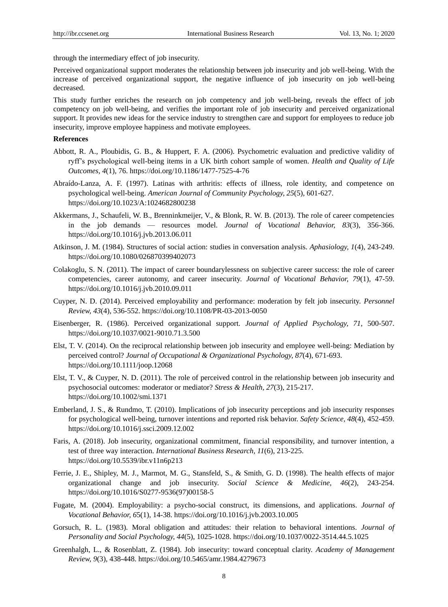through the intermediary effect of job insecurity.

Perceived organizational support moderates the relationship between job insecurity and job well-being. With the increase of perceived organizational support, the negative influence of job insecurity on job well-being decreased.

This study further enriches the research on job competency and job well-being, reveals the effect of job competency on job well-being, and verifies the important role of job insecurity and perceived organizational support. It provides new ideas for the service industry to strengthen care and support for employees to reduce job insecurity, improve employee happiness and motivate employees.

## **References**

- Abbott, R. A., Ploubidis, G. B., & Huppert, F. A. (2006). Psychometric evaluation and predictive validity of ryff's psychological well-being items in a UK birth cohort sample of women. *Health and Quality of Life Outcomes, 4*(1), 76. https://doi.org/10.1186/1477-7525-4-76
- Abraído-Lanza, A. F. (1997). Latinas with arthritis: effects of illness, role identity, and competence on psychological well-being. *American Journal of Community Psychology, 25*(5), 601-627. https://doi.org/10.1023/A:1024682800238
- Akkermans, J., Schaufeli, W. B., Brenninkmeijer, V., & Blonk, R. W. B. (2013). The role of career competencies in the job demands — resources model. *Journal of Vocational Behavior, 83*(3), 356-366. https://doi.org/10.1016/j.jvb.2013.06.011
- Atkinson, J. M. (1984). Structures of social action: studies in conversation analysis. *Aphasiology, 1*(4), 243-249. https://doi.org/10.1080/026870399402073
- Colakoglu, S. N. (2011). The impact of career boundarylessness on subjective career success: the role of career competencies, career autonomy, and career insecurity. *Journal of Vocational Behavior, 79*(1), 47-59. https://doi.org/10.1016/j.jvb.2010.09.011
- Cuyper, N. D. (2014). Perceived employability and performance: moderation by felt job insecurity. *Personnel Review, 43*(4), 536-552. https://doi.org/10.1108/PR-03-2013-0050
- Eisenberger, R. (1986). Perceived organizational support. *Journal of Applied Psychology, 71,* 500-507. https://doi.org/10.1037/0021-9010.71.3.500
- Elst, T. V. (2014). On the reciprocal relationship between job insecurity and employee well-being: Mediation by perceived control? *Journal of Occupational & Organizational Psychology, 87*(4), 671-693. https://doi.org/10.1111/joop.12068
- Elst, T. V., & Cuyper, N. D. (2011). The role of perceived control in the relationship between job insecurity and psychosocial outcomes: moderator or mediator? *Stress & Health, 27*(3), 215-217. https://doi.org/10.1002/smi.1371
- Emberland, J. S., & Rundmo, T. (2010). Implications of job insecurity perceptions and job insecurity responses for psychological well-being, turnover intentions and reported risk behavior. *Safety Science, 48*(4), 452-459. https://doi.org/10.1016/j.ssci.2009.12.002
- Faris, A. (2018). Job insecurity, organizational commitment, financial responsibility, and turnover intention, a test of three way interaction. *International Business Research, 11*(6), 213-225. https://doi.org/10.5539/ibr.v11n6p213
- Ferrie, J. E., Shipley, M. J., Marmot, M. G., Stansfeld, S., & Smith, G. D. (1998). The health effects of major organizational change and job insecurity. *Social Science & Medicine, 46*(2), 243-254. https://doi.org/10.1016/S0277-9536(97)00158-5
- Fugate, M. (2004). Employability: a psycho-social construct, its dimensions, and applications. *Journal of Vocational Behavior, 6*5(1), 14-38. https://doi.org/10.1016/j.jvb.2003.10.005
- Gorsuch, R. L. (1983). Moral obligation and attitudes: their relation to behavioral intentions. *Journal of Personality and Social Psychology, 44*(5), 1025-1028. https://doi.org/10.1037/0022-3514.44.5.1025
- Greenhalgh, L., & Rosenblatt, Z. (1984). Job insecurity: toward conceptual clarity. *Academy of Management Review, 9*(3), 438-448. https://doi.org/10.5465/amr.1984.4279673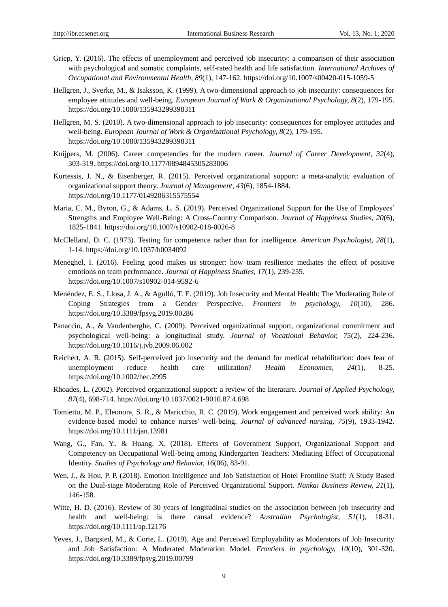- Griep, Y. (2016). The effects of unemployment and perceived job insecurity: a comparison of their association with psychological and somatic complaints, self-rated health and life satisfaction. *International Archives of Occupational and Environmental Health, 89*(1), 147-162. https://doi.org/10.1007/s00420-015-1059-5
- Hellgren, J., Sverke, M., & Isaksson, K. (1999). A two-dimensional approach to job insecurity: consequences for employee attitudes and well-being*. European Journal of Work & Organizational Psychology, 8*(2), 179-195. https://doi.org/10.1080/135943299398311
- Hellgren, M. S. (2010). A two-dimensional approach to job insecurity: consequences for employee attitudes and well-being. *European Journal of Work & Organizational Psychology, 8*(2), 179-195. https://doi.org/10.1080/135943299398311
- Kuijpers, M. (2006). Career competencies for the modern career. *Journal of Career Development, 32*(4), 303-319. https://doi.org/10.1177/0894845305283006
- Kurtessis, J. N., & Eisenberger, R. (2015). Perceived organizational support: a meta-analytic evaluation of organizational support theory. *Journal of Management, 43*(6), 1854-1884. https://doi.org/10.1177/0149206315575554
- Maria, C. M., Byron, G., & Adams, L. S. (2019). Perceived Organizational Support for the Use of Employees' Strengths and Employee Well-Being: A Cross-Country Comparison. *Journal of Happiness Studies, 20*(6), 1825-1841. https://doi.org/10.1007/s10902-018-0026-8
- McClelland, D. C. (1973). Testing for competence rather than for intelligence. *American Psychologist, 28*(1), 1-14. https://doi.org/10.1037/h0034092
- Meneghel, I. (2016). Feeling good makes us stronger: how team resilience mediates the effect of positive emotions on team performance. *Journal of Happiness Studies, 17*(1), 239-255. https://doi.org/10.1007/s10902-014-9592-6
- Menéndez, E. S., Llosa, J. A., & Agulló, T. E. (2019). Job Insecurity and Mental Health: The Moderating Role of Coping Strategies from a Gender Perspective. *Frontiers in psychology, 10*(10), 286. https://doi.org/10.3389/fpsyg.2019.00286
- Panaccio, A., & Vandenberghe, C. (2009). Perceived organizational support, organizational commitment and psychological well-being: a longitudinal study. *Journal of Vocational Behavior, 75*(2), 224-236. https://doi.org/10.1016/j.jvb.2009.06.002
- Reichert, A. R. (2015). Self-perceived job insecurity and the demand for medical rehabilitation: does fear of unemployment reduce health care utilization? *Health Economics, 24*(1), 8-25. https://doi.org/10.1002/hec.2995
- Rhoades, L. (2002). Perceived organizational support: a review of the literature. *Journal of Applied Psychology, 87*(4), 698-714. https://doi.org/10.1037/0021-9010.87.4.698
- Tomietto, M. P., Eleonora, S. R., & Maricchio, R. C. (2019). Work engagement and perceived work ability: An evidence-based model to enhance nurses' well-being. *Journal of advanced nursing, 75*(9), 1933-1942. https://doi.org/10.1111/jan.13981
- Wang, G., Fan, Y., & Huang, X. (2018). Effects of Government Support, Organizational Support and Competency on Occupational Well-being among Kindergarten Teachers: Mediating Effect of Occupational Identity. *Studies of Psychology and Behavior, 16*(06), 83-91.
- Wen, J., & Hou, P. P. (2018). Emotion Intelligence and Job Satisfaction of Hotel Frontline Staff: A Study Based on the Dual-stage Moderating Role of Perceived Organizational Support. *Nankai Business Review, 21*(1), 146-158.
- Witte, H. D. (2016). Review of 30 years of longitudinal studies on the association between job insecurity and health and well-being: is there causal evidence? *Australian Psychologist, 51*(1), 18-31. https://doi.org/10.1111/ap.12176
- Yeves, J., Bargsted, M., & Corte, L. (2019). Age and Perceived Employability as Moderators of Job Insecurity and Job Satisfaction: A Moderated Moderation Model*. Frontiers in psychology, 10*(10), 301-320. https://doi.org/10.3389/fpsyg.2019.00799